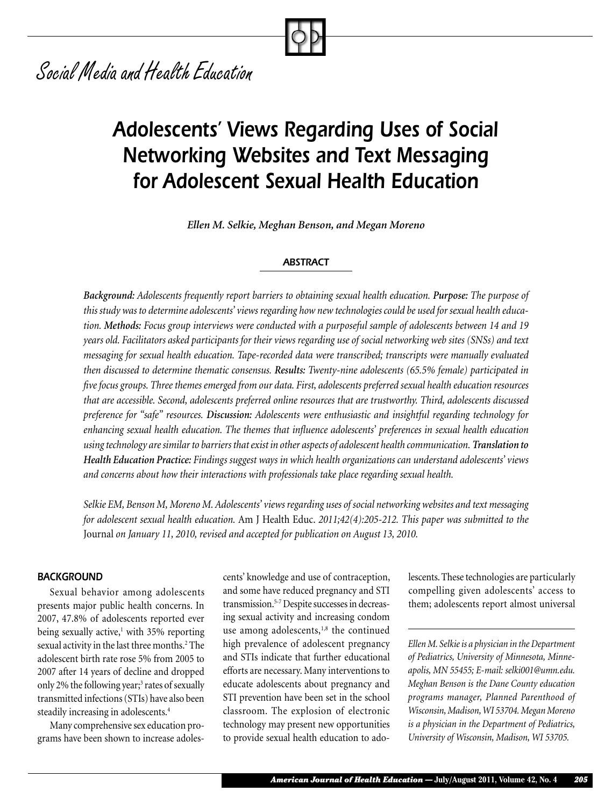# *Social Media and Health Education*

# *Adolescents' Views Regarding Uses of Social Networking Websites and Text Messaging for Adolescent Sexual Health Education*

*Ellen M. Selkie, Meghan Benson, and Megan Moreno*

#### *ABSTRACT*

*Background: Adolescents frequently report barriers to obtaining sexual health education. Purpose: The purpose of this study was to determine adolescents' views regarding how new technologies could be used for sexual health education. Methods: Focus group interviews were conducted with a purposeful sample of adolescents between 14 and 19 years old. Facilitators asked participants for their views regarding use of social networking web sites (SNSs) and text messaging for sexual health education. Tape-recorded data were transcribed; transcripts were manually evaluated then discussed to determine thematic consensus. Results: Twenty-nine adolescents (65.5% female) participated in five focus groups. Three themes emerged from our data. First, adolescents preferred sexual health education resources that are accessible. Second, adolescents preferred online resources that are trustworthy. Third, adolescents discussed preference for "safe" resources. Discussion: Adolescents were enthusiastic and insightful regarding technology for enhancing sexual health education. The themes that influence adolescents' preferences in sexual health education using technology are similar to barriers that exist in other aspects of adolescent health communication. Translation to Health Education Practice: Findings suggest ways in which health organizations can understand adolescents' views and concerns about how their interactions with professionals take place regarding sexual health.*

*Selkie EM, Benson M, Moreno M. Adolescents' views regarding uses of social networking websites and text messaging for adolescent sexual health education.* Am J Health Educ. *2011;42(4):205-212. This paper was submitted to the*  Journal *on January 11, 2010, revised and accepted for publication on August 13, 2010.*

#### *BACKGROUND*

Sexual behavior among adolescents presents major public health concerns. In 2007, 47.8% of adolescents reported ever being sexually active,<sup>1</sup> with 35% reporting sexual activity in the last three months.<sup>2</sup> The adolescent birth rate rose 5% from 2005 to 2007 after 14 years of decline and dropped only 2% the following year;<sup>3</sup> rates of sexually transmitted infections (STIs) have also been steadily increasing in adolescents.4

Many comprehensive sex education programs have been shown to increase adolescents' knowledge and use of contraception, and some have reduced pregnancy and STI transmission.5-7 Despite successes in decreasing sexual activity and increasing condom use among adolescents,<sup>1,8</sup> the continued high prevalence of adolescent pregnancy and STIs indicate that further educational efforts are necessary. Many interventions to educate adolescents about pregnancy and STI prevention have been set in the school classroom. The explosion of electronic technology may present new opportunities to provide sexual health education to adolescents. These technologies are particularly compelling given adolescents' access to them; adolescents report almost universal

*Ellen M. Selkie is a physician in the Department of Pediatrics, University of Minnesota, Minneapolis, MN 55455; E-mail: selki001@umn.edu. Meghan Benson is the Dane County education programs manager, Planned Parenthood of Wisconsin, Madison, WI 53704. Megan Moreno is a physician in the Department of Pediatrics, University of Wisconsin, Madison, WI 53705.*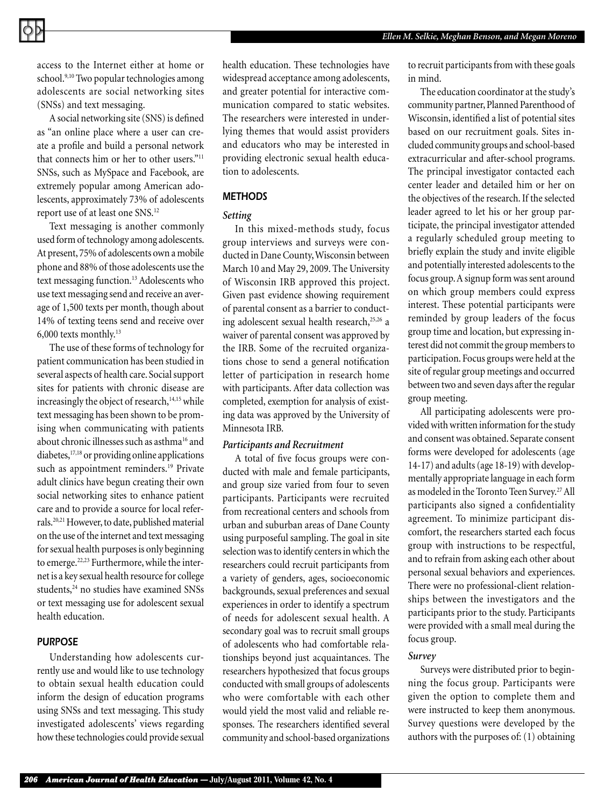access to the Internet either at home or school.<sup>9,10</sup> Two popular technologies among adolescents are social networking sites (SNSs) and text messaging.

A social networking site (SNS) is defined as "an online place where a user can create a profile and build a personal network that connects him or her to other users."<sup>11</sup> SNSs, such as MySpace and Facebook, are extremely popular among American adolescents, approximately 73% of adolescents report use of at least one SNS.12

Text messaging is another commonly used form of technology among adolescents. At present, 75% of adolescents own a mobile phone and 88% of those adolescents use the text messaging function.<sup>13</sup> Adolescents who use text messaging send and receive an average of 1,500 texts per month, though about 14% of texting teens send and receive over 6,000 texts monthly.13

The use of these forms of technology for patient communication has been studied in several aspects of health care. Social support sites for patients with chronic disease are increasingly the object of research,<sup>14,15</sup> while text messaging has been shown to be promising when communicating with patients about chronic illnesses such as asthma<sup>16</sup> and diabetes,17,18 or providing online applications such as appointment reminders.<sup>19</sup> Private adult clinics have begun creating their own social networking sites to enhance patient care and to provide a source for local referrals.20,21 However, to date, published material on the use of the internet and text messaging for sexual health purposes is only beginning to emerge.<sup>22,23</sup> Furthermore, while the internet is a key sexual health resource for college students,<sup>24</sup> no studies have examined SNSs or text messaging use for adolescent sexual health education.

#### *PURPOSE*

Understanding how adolescents currently use and would like to use technology to obtain sexual health education could inform the design of education programs using SNSs and text messaging. This study investigated adolescents' views regarding how these technologies could provide sexual

health education. These technologies have widespread acceptance among adolescents, and greater potential for interactive communication compared to static websites. The researchers were interested in underlying themes that would assist providers and educators who may be interested in providing electronic sexual health education to adolescents.

### *METHODS*

#### *Setting*

In this mixed-methods study, focus group interviews and surveys were conducted in Dane County, Wisconsin between March 10 and May 29, 2009. The University of Wisconsin IRB approved this project. Given past evidence showing requirement of parental consent as a barrier to conducting adolescent sexual health research,<sup>25,26</sup> a waiver of parental consent was approved by the IRB. Some of the recruited organizations chose to send a general notification letter of participation in research home with participants. After data collection was completed, exemption for analysis of existing data was approved by the University of Minnesota IRB.

#### *Participants and Recruitment*

A total of five focus groups were conducted with male and female participants, and group size varied from four to seven participants. Participants were recruited from recreational centers and schools from urban and suburban areas of Dane County using purposeful sampling. The goal in site selection was to identify centers in which the researchers could recruit participants from a variety of genders, ages, socioeconomic backgrounds, sexual preferences and sexual experiences in order to identify a spectrum of needs for adolescent sexual health. A secondary goal was to recruit small groups of adolescents who had comfortable relationships beyond just acquaintances. The researchers hypothesized that focus groups conducted with small groups of adolescents who were comfortable with each other would yield the most valid and reliable responses. The researchers identified several community and school-based organizations to recruit participants from with these goals in mind.

The education coordinator at the study's community partner, Planned Parenthood of Wisconsin, identified a list of potential sites based on our recruitment goals. Sites included community groups and school-based extracurricular and after-school programs. The principal investigator contacted each center leader and detailed him or her on the objectives of the research. If the selected leader agreed to let his or her group participate, the principal investigator attended a regularly scheduled group meeting to briefly explain the study and invite eligible and potentially interested adolescents to the focus group. A signup form was sent around on which group members could express interest. These potential participants were reminded by group leaders of the focus group time and location, but expressing interest did not commit the group members to participation. Focus groups were held at the site of regular group meetings and occurred between two and seven days after the regular group meeting.

All participating adolescents were provided with written information for the study and consent was obtained. Separate consent forms were developed for adolescents (age 14-17) and adults (age 18-19) with developmentally appropriate language in each form as modeled in the Toronto Teen Survey.<sup>27</sup> All participants also signed a confidentiality agreement. To minimize participant discomfort, the researchers started each focus group with instructions to be respectful, and to refrain from asking each other about personal sexual behaviors and experiences. There were no professional-client relationships between the investigators and the participants prior to the study. Participants were provided with a small meal during the focus group.

#### *Survey*

Surveys were distributed prior to beginning the focus group. Participants were given the option to complete them and were instructed to keep them anonymous. Survey questions were developed by the authors with the purposes of: (1) obtaining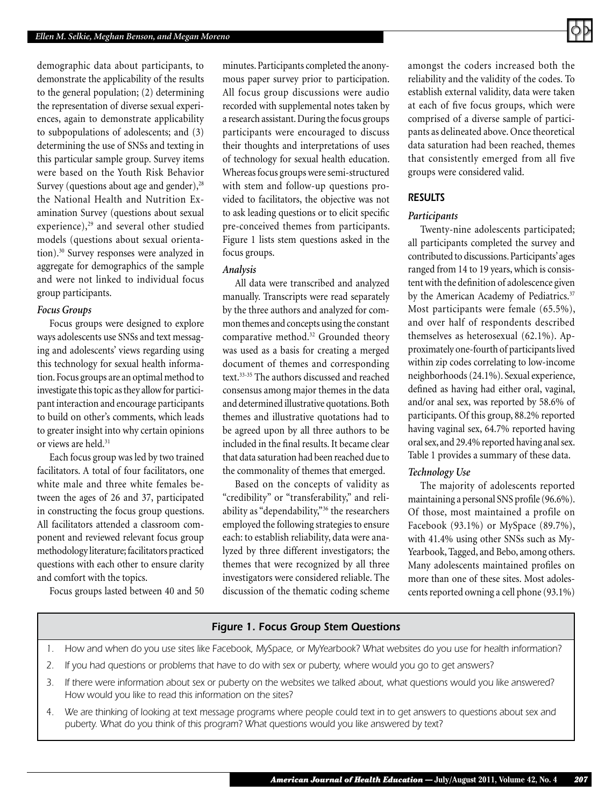demographic data about participants, to demonstrate the applicability of the results to the general population; (2) determining the representation of diverse sexual experiences, again to demonstrate applicability to subpopulations of adolescents; and (3) determining the use of SNSs and texting in this particular sample group. Survey items were based on the Youth Risk Behavior Survey (questions about age and gender), $28$ the National Health and Nutrition Examination Survey (questions about sexual experience), $29$  and several other studied models (questions about sexual orientation).30 Survey responses were analyzed in aggregate for demographics of the sample and were not linked to individual focus group participants.

#### *Focus Groups*

Focus groups were designed to explore ways adolescents use SNSs and text messaging and adolescents' views regarding using this technology for sexual health information. Focus groups are an optimal method to investigate this topic as they allow for participant interaction and encourage participants to build on other's comments, which leads to greater insight into why certain opinions or views are held.<sup>31</sup>

Each focus group was led by two trained facilitators. A total of four facilitators, one white male and three white females between the ages of 26 and 37, participated in constructing the focus group questions. All facilitators attended a classroom component and reviewed relevant focus group methodology literature; facilitators practiced questions with each other to ensure clarity and comfort with the topics.

Focus groups lasted between 40 and 50

minutes. Participants completed the anonymous paper survey prior to participation. All focus group discussions were audio recorded with supplemental notes taken by a research assistant. During the focus groups participants were encouraged to discuss their thoughts and interpretations of uses of technology for sexual health education. Whereas focus groups were semi-structured with stem and follow-up questions provided to facilitators, the objective was not to ask leading questions or to elicit specific pre-conceived themes from participants. Figure 1 lists stem questions asked in the focus groups.

#### *Analysis*

All data were transcribed and analyzed manually. Transcripts were read separately by the three authors and analyzed for common themes and concepts using the constant comparative method.<sup>32</sup> Grounded theory was used as a basis for creating a merged document of themes and corresponding text.33-35 The authors discussed and reached consensus among major themes in the data and determined illustrative quotations. Both themes and illustrative quotations had to be agreed upon by all three authors to be included in the final results. It became clear that data saturation had been reached due to the commonality of themes that emerged.

Based on the concepts of validity as "credibility" or "transferability," and reliability as "dependability,"<sup>36</sup> the researchers employed the following strategies to ensure each: to establish reliability, data were analyzed by three different investigators; the themes that were recognized by all three investigators were considered reliable. The discussion of the thematic coding scheme amongst the coders increased both the reliability and the validity of the codes. To establish external validity, data were taken at each of five focus groups, which were comprised of a diverse sample of participants as delineated above. Once theoretical data saturation had been reached, themes that consistently emerged from all five groups were considered valid.

#### *RESULTS*

#### *Participants*

Twenty-nine adolescents participated; all participants completed the survey and contributed to discussions. Participants' ages ranged from 14 to 19 years, which is consistent with the definition of adolescence given by the American Academy of Pediatrics.<sup>37</sup> Most participants were female (65.5%), and over half of respondents described themselves as heterosexual (62.1%). Approximately one-fourth of participants lived within zip codes correlating to low-income neighborhoods (24.1%). Sexual experience, defined as having had either oral, vaginal, and/or anal sex, was reported by 58.6% of participants. Of this group, 88.2% reported having vaginal sex, 64.7% reported having oral sex, and 29.4% reported having anal sex. Table 1 provides a summary of these data.

#### *Technology Use*

The majority of adolescents reported maintaining a personal SNS profile (96.6%). Of those, most maintained a profile on Facebook (93.1%) or MySpace (89.7%), with 41.4% using other SNSs such as My-Yearbook, Tagged, and Bebo, among others. Many adolescents maintained profiles on more than one of these sites. Most adolescents reported owning a cell phone (93.1%)

#### *Figure 1. Focus Group Stem Questions*

- *1. How and when do you use sites like Facebook, MySpace, or MyYearbook? What websites do you use for health information?*
- *2. If you had questions or problems that have to do with sex or puberty, where would you go to get answers?*
- *3. If there were information about sex or puberty on the websites we talked about, what questions would you like answered? How would you like to read this information on the sites?*
- *4. We are thinking of looking at text message programs where people could text in to get answers to questions about sex and puberty. What do you think of this program? What questions would you like answered by text?*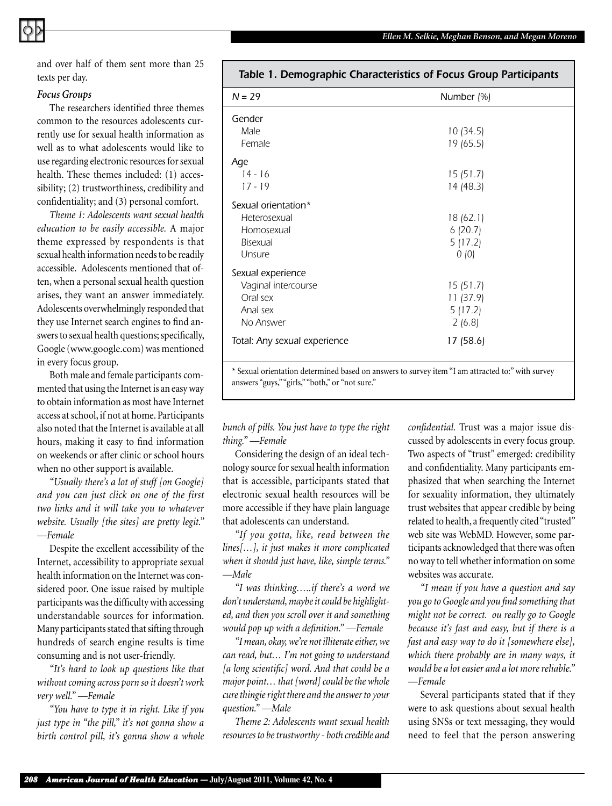and over half of them sent more than 25 texts per day.

#### *Focus Groups*

The researchers identified three themes common to the resources adolescents currently use for sexual health information as well as to what adolescents would like to use regarding electronic resources for sexual health. These themes included: (1) accessibility; (2) trustworthiness, credibility and confidentiality; and (3) personal comfort.

*Theme 1: Adolescents want sexual health education to be easily accessible.* A major theme expressed by respondents is that sexual health information needs to be readily accessible. Adolescents mentioned that often, when a personal sexual health question arises, they want an answer immediately. Adolescents overwhelmingly responded that they use Internet search engines to find answers to sexual health questions; specifically, Google (www.google.com) was mentioned in every focus group.

Both male and female participants commented that using the Internet is an easy way to obtain information as most have Internet access at school, if not at home. Participants also noted that the Internet is available at all hours, making it easy to find information on weekends or after clinic or school hours when no other support is available.

*"Usually there's a lot of stuff [on Google] and you can just click on one of the first two links and it will take you to whatever website. Usually [the sites] are pretty legit." —Female*

Despite the excellent accessibility of the Internet, accessibility to appropriate sexual health information on the Internet was considered poor. One issue raised by multiple participants was the difficulty with accessing understandable sources for information. Many participants stated that sifting through hundreds of search engine results is time consuming and is not user-friendly.

*"It's hard to look up questions like that without coming across porn so it doesn't work very well." —Female*

*"You have to type it in right. Like if you just type in "the pill," it's not gonna show a birth control pill, it's gonna show a whole* 

| Table 1. Demographic Characteristics of Focus Group Participants                                              |                                                        |
|---------------------------------------------------------------------------------------------------------------|--------------------------------------------------------|
| $N = 29$                                                                                                      | Number (%)                                             |
| Gender<br>Male<br>Female                                                                                      | 10(34.5)<br>19 (65.5)                                  |
| Age<br>$14 - 16$<br>$17 - 19$                                                                                 | 15 (51.7)<br>14 (48.3)                                 |
| Sexual orientation*<br>Heterosexual<br>Homosexual<br><b>Bisexual</b><br>Unsure                                | 18 (62.1)<br>6(20.7)<br>5(17.2)<br>0(0)                |
| Sexual experience<br>Vaginal intercourse<br>Oral sex<br>Anal sex<br>No Answer<br>Total: Any sexual experience | 15(51.7)<br>11(37.9)<br>5(17.2)<br>2(6.8)<br>17 (58.6) |
| * Sexual orientation determined based on answers to survey item "I am attracted to:" with survey              |                                                        |

### answers "guys," "girls," "both," or "not sure."

*bunch of pills. You just have to type the right thing." —Female*

Considering the design of an ideal technology source for sexual health information that is accessible, participants stated that electronic sexual health resources will be more accessible if they have plain language that adolescents can understand.

*"If you gotta, like, read between the lines[…], it just makes it more complicated when it should just have, like, simple terms." —Male*

*"I was thinking…..if there's a word we don't understand, maybe it could be highlighted, and then you scroll over it and something would pop up with a definition." —Female*

*"I mean, okay, we're not illiterate either, we can read, but… I'm not going to understand [a long scientific] word. And that could be a major point… that [word] could be the whole cure thingie right there and the answer to your question." —Male*

*Theme 2: Adolescents want sexual health resources to be trustworthy - both credible and*  *confidential.* Trust was a major issue discussed by adolescents in every focus group. Two aspects of "trust" emerged: credibility and confidentiality. Many participants emphasized that when searching the Internet for sexuality information, they ultimately trust websites that appear credible by being related to health, a frequently cited "trusted" web site was WebMD. However, some participants acknowledged that there was often no way to tell whether information on some websites was accurate.

*"I mean if you have a question and say you go to Google and you find something that might not be correct. ou really go to Google because it's fast and easy, but if there is a fast and easy way to do it [somewhere else], which there probably are in many ways, it would be a lot easier and a lot more reliable." —Female*

Several participants stated that if they were to ask questions about sexual health using SNSs or text messaging, they would need to feel that the person answering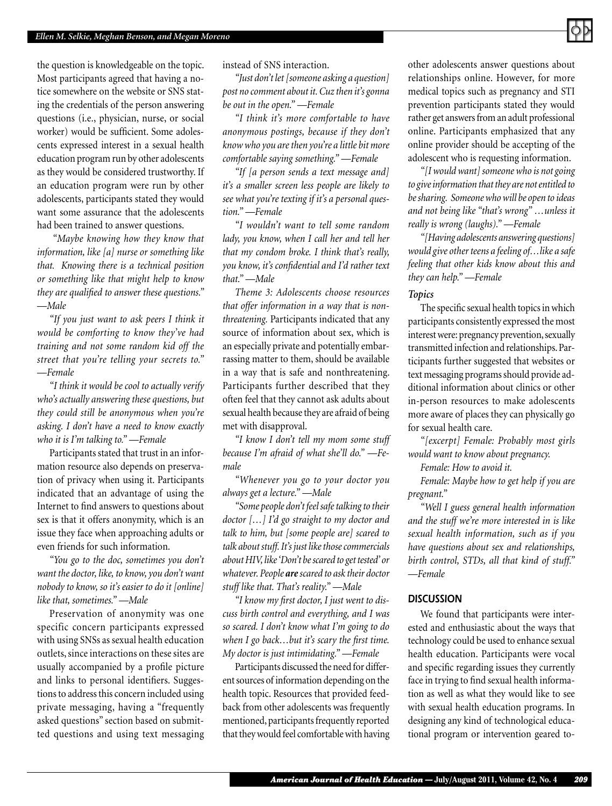the question is knowledgeable on the topic. Most participants agreed that having a notice somewhere on the website or SNS stating the credentials of the person answering questions (i.e., physician, nurse, or social worker) would be sufficient. Some adolescents expressed interest in a sexual health education program run by other adolescents as they would be considered trustworthy. If an education program were run by other adolescents, participants stated they would want some assurance that the adolescents had been trained to answer questions.

 *"Maybe knowing how they know that information, like [a] nurse or something like that. Knowing there is a technical position or something like that might help to know they are qualified to answer these questions." —Male*

*"If you just want to ask peers I think it would be comforting to know they've had training and not some random kid off the street that you're telling your secrets to." —Female*

*"I think it would be cool to actually verify who's actually answering these questions, but they could still be anonymous when you're asking. I don't have a need to know exactly who it is I'm talking to." —Female*

Participants stated that trust in an information resource also depends on preservation of privacy when using it. Participants indicated that an advantage of using the Internet to find answers to questions about sex is that it offers anonymity, which is an issue they face when approaching adults or even friends for such information.

*"You go to the doc, sometimes you don't want the doctor, like, to know, you don't want nobody to know, so it's easier to do it [online] like that, sometimes." —Male*

Preservation of anonymity was one specific concern participants expressed with using SNSs as sexual health education outlets, since interactions on these sites are usually accompanied by a profile picture and links to personal identifiers. Suggestions to address this concern included using private messaging, having a "frequently asked questions" section based on submitted questions and using text messaging instead of SNS interaction.

*"Just don't let [someone asking a question] post no comment about it. Cuz then it's gonna be out in the open." —Female*

*"I think it's more comfortable to have anonymous postings, because if they don't know who you are then you're a little bit more comfortable saying something." —Female*

*"If [a person sends a text message and] it's a smaller screen less people are likely to see what you're texting if it's a personal question." —Female*

*"I wouldn't want to tell some random lady, you know, when I call her and tell her that my condom broke. I think that's really, you know, it's confidential and I'd rather text that." —Male*

*Theme 3: Adolescents choose resources that offer information in a way that is nonthreatening.* Participants indicated that any source of information about sex, which is an especially private and potentially embarrassing matter to them, should be available in a way that is safe and nonthreatening. Participants further described that they often feel that they cannot ask adults about sexual health because they are afraid of being met with disapproval.

*"I know I don't tell my mom some stuff because I'm afraid of what she'll do." —Female*

*"Whenever you go to your doctor you always get a lecture." —Male*

*"Some people don't feel safe talking to their doctor […] I'd go straight to my doctor and talk to him, but [some people are] scared to talk about stuff. It's just like those commercials about HIV, like 'Don't be scared to get tested' or whatever. People are scared to ask their doctor stuff like that. That's reality." —Male* 

*"I know my first doctor, I just went to discuss birth control and everything, and I was so scared. I don't know what I'm going to do when I go back…but it's scary the first time. My doctor is just intimidating." —Female*

Participants discussed the need for different sources of information depending on the health topic. Resources that provided feedback from other adolescents was frequently mentioned, participants frequently reported that they would feel comfortable with having other adolescents answer questions about relationships online. However, for more medical topics such as pregnancy and STI prevention participants stated they would rather get answers from an adult professional online. Participants emphasized that any online provider should be accepting of the adolescent who is requesting information.

*"[I would want] someone who is not going to give information that they are not entitled to be sharing. Someone who will be open to ideas and not being like "that's wrong" …unless it really is wrong (laughs)." —Female* 

*"[Having adolescents answering questions] would give other teens a feeling of…like a safe feeling that other kids know about this and they can help." —Female*

#### *Topics*

The specific sexual health topics in which participants consistently expressed the most interest were: pregnancy prevention, sexually transmitted infection and relationships. Participants further suggested that websites or text messaging programs should provide additional information about clinics or other in-person resources to make adolescents more aware of places they can physically go for sexual health care.

*"[excerpt] Female: Probably most girls would want to know about pregnancy.*

*Female: How to avoid it.*

*Female: Maybe how to get help if you are pregnant."*

*"Well I guess general health information and the stuff we're more interested in is like sexual health information, such as if you have questions about sex and relationships, birth control, STDs, all that kind of stuff." —Female* 

#### *DISCUSSION*

We found that participants were interested and enthusiastic about the ways that technology could be used to enhance sexual health education. Participants were vocal and specific regarding issues they currently face in trying to find sexual health information as well as what they would like to see with sexual health education programs. In designing any kind of technological educational program or intervention geared to-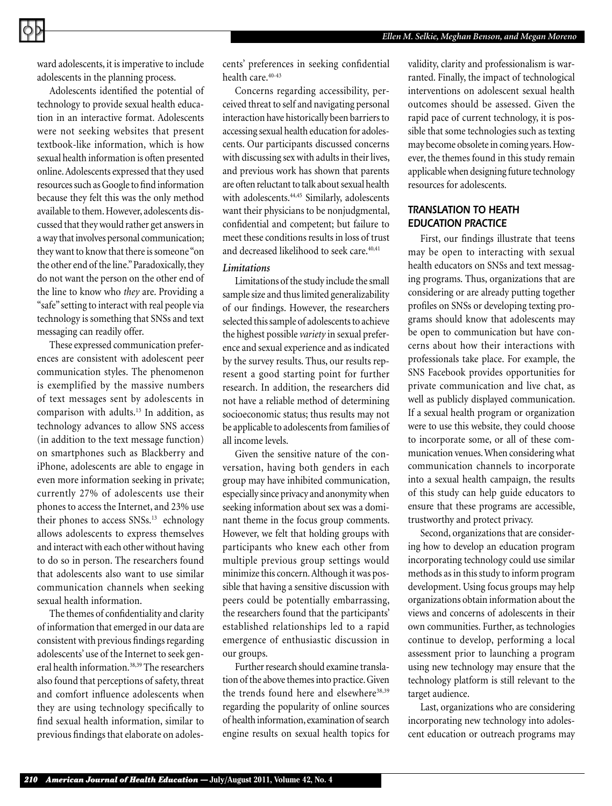

ward adolescents, it is imperative to include adolescents in the planning process.

Adolescents identified the potential of technology to provide sexual health education in an interactive format. Adolescents were not seeking websites that present textbook-like information, which is how sexual health information is often presented online. Adolescents expressed that they used resources such as Google to find information because they felt this was the only method available to them. However, adolescents discussed that they would rather get answers in a way that involves personal communication; they want to know that there is someone "on the other end of the line." Paradoxically, they do not want the person on the other end of the line to know who *they* are. Providing a "safe" setting to interact with real people via technology is something that SNSs and text messaging can readily offer.

These expressed communication preferences are consistent with adolescent peer communication styles. The phenomenon is exemplified by the massive numbers of text messages sent by adolescents in comparison with adults.<sup>13</sup> In addition, as technology advances to allow SNS access (in addition to the text message function) on smartphones such as Blackberry and iPhone, adolescents are able to engage in even more information seeking in private; currently 27% of adolescents use their phones to access the Internet, and 23% use their phones to access SNSs.<sup>13</sup> echnology allows adolescents to express themselves and interact with each other without having to do so in person. The researchers found that adolescents also want to use similar communication channels when seeking sexual health information.

The themes of confidentiality and clarity of information that emerged in our data are consistent with previous findings regarding adolescents' use of the Internet to seek general health information.38,39 The researchers also found that perceptions of safety, threat and comfort influence adolescents when they are using technology specifically to find sexual health information, similar to previous findings that elaborate on adolescents' preferences in seeking confidential health care.<sup>40-43</sup>

Concerns regarding accessibility, perceived threat to self and navigating personal interaction have historically been barriers to accessing sexual health education for adolescents. Our participants discussed concerns with discussing sex with adults in their lives, and previous work has shown that parents are often reluctant to talk about sexual health with adolescents.<sup>44,45</sup> Similarly, adolescents want their physicians to be nonjudgmental, confidential and competent; but failure to meet these conditions results in loss of trust and decreased likelihood to seek care.<sup>40,41</sup>

#### *Limitations*

Limitations of the study include the small sample size and thus limited generalizability of our findings. However, the researchers selected this sample of adolescents to achieve the highest possible *variety* in sexual preference and sexual experience and as indicated by the survey results. Thus, our results represent a good starting point for further research. In addition, the researchers did not have a reliable method of determining socioeconomic status; thus results may not be applicable to adolescents from families of all income levels.

Given the sensitive nature of the conversation, having both genders in each group may have inhibited communication, especially since privacy and anonymity when seeking information about sex was a dominant theme in the focus group comments. However, we felt that holding groups with participants who knew each other from multiple previous group settings would minimize this concern. Although it was possible that having a sensitive discussion with peers could be potentially embarrassing, the researchers found that the participants' established relationships led to a rapid emergence of enthusiastic discussion in our groups.

Further research should examine translation of the above themes into practice. Given the trends found here and elsewhere<sup>38,39</sup> regarding the popularity of online sources of health information, examination of search engine results on sexual health topics for validity, clarity and professionalism is warranted. Finally, the impact of technological interventions on adolescent sexual health outcomes should be assessed. Given the rapid pace of current technology, it is possible that some technologies such as texting may become obsolete in coming years. However, the themes found in this study remain applicable when designing future technology resources for adolescents.

#### *TRANSLATION TO HEATH EDUCATION PRACTICE*

First, our findings illustrate that teens may be open to interacting with sexual health educators on SNSs and text messaging programs. Thus, organizations that are considering or are already putting together profiles on SNSs or developing texting programs should know that adolescents may be open to communication but have concerns about how their interactions with professionals take place. For example, the SNS Facebook provides opportunities for private communication and live chat, as well as publicly displayed communication. If a sexual health program or organization were to use this website, they could choose to incorporate some, or all of these communication venues. When considering what communication channels to incorporate into a sexual health campaign, the results of this study can help guide educators to ensure that these programs are accessible, trustworthy and protect privacy.

Second, organizations that are considering how to develop an education program incorporating technology could use similar methods as in this study to inform program development. Using focus groups may help organizations obtain information about the views and concerns of adolescents in their own communities. Further, as technologies continue to develop, performing a local assessment prior to launching a program using new technology may ensure that the technology platform is still relevant to the target audience.

Last, organizations who are considering incorporating new technology into adolescent education or outreach programs may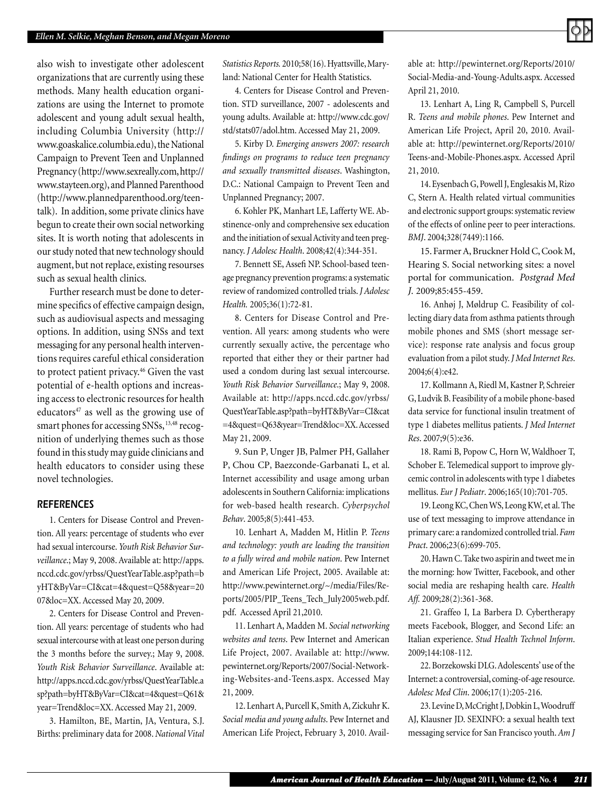also wish to investigate other adolescent organizations that are currently using these methods. Many health education organizations are using the Internet to promote adolescent and young adult sexual health, including Columbia University (http:// www.goaskalice.columbia.edu), the National Campaign to Prevent Teen and Unplanned Pregnancy (http://www.sexreally.com, http:// www.stayteen.org), and Planned Parenthood (http://www.plannedparenthood.org/teentalk). In addition, some private clinics have begun to create their own social networking sites. It is worth noting that adolescents in our study noted that new technology should augment, but not replace, existing resourses such as sexual health clinics.

Further research must be done to determine specifics of effective campaign design, such as audiovisual aspects and messaging options. In addition, using SNSs and text messaging for any personal health interventions requires careful ethical consideration to protect patient privacy.<sup>46</sup> Given the vast potential of e-health options and increasing access to electronic resources for health educators $47$  as well as the growing use of smart phones for accessing SNSs, <sup>13,48</sup> recognition of underlying themes such as those found in this study may guide clinicians and health educators to consider using these novel technologies.

#### *REFERENCES*

1. Centers for Disease Control and Prevention. All years: percentage of students who ever had sexual intercourse. *Youth Risk Behavior Surveillance*.; May 9, 2008. Available at: http://apps. nccd.cdc.gov/yrbss/QuestYearTable.asp?path=b yHT&ByVar=CI&cat=4&quest=Q58&year=20 07&loc=XX. Accessed May 20, 2009.

2. Centers for Disease Control and Prevention. All years: percentage of students who had sexual intercourse with at least one person during the 3 months before the survey.; May 9, 2008. *Youth Risk Behavior Surveillance*. Available at: http://apps.nccd.cdc.gov/yrbss/QuestYearTable.a sp?path=byHT&ByVar=CI&cat=4&quest=Q61& year=Trend&loc=XX. Accessed May 21, 2009.

3. Hamilton, BE, Martin, JA, Ventura, S.J. Births: preliminary data for 2008. *National Vital*  *Statistics Reports.* 2010;58(16). Hyattsville, Maryland: National Center for Health Statistics.

4. Centers for Disease Control and Prevention. STD surveillance, 2007 - adolescents and young adults. Available at: http://www.cdc.gov/ std/stats07/adol.htm. Accessed May 21, 2009.

5. Kirby D. *Emerging answers 2007: research findings on programs to reduce teen pregnancy and sexually transmitted diseases*. Washington, D.C.: National Campaign to Prevent Teen and Unplanned Pregnancy; 2007.

6. Kohler PK, Manhart LE, Lafferty WE. Abstinence-only and comprehensive sex education and the initiation of sexual Activity and teen pregnancy. *J Adolesc Health*. 2008;42(4):344-351.

7. Bennett SE, Assefi NP. School-based teenage pregnancy prevention programs: a systematic review of randomized controlled trials. *J Adolesc Health.* 2005;36(1):72-81.

8. Centers for Disease Control and Prevention. All years: among students who were currently sexually active, the percentage who reported that either they or their partner had used a condom during last sexual intercourse. *Youth Risk Behavior Surveillance*.; May 9, 2008. Available at: http://apps.nccd.cdc.gov/yrbss/ QuestYearTable.asp?path=byHT&ByVar=CI&cat =4&quest=Q63&year=Trend&loc=XX. Accessed May 21, 2009.

9. Sun P, Unger JB, Palmer PH, Gallaher P, Chou CP, Baezconde-Garbanati L, et al. Internet accessibility and usage among urban adolescents in Southern California: implications for web-based health research. *Cyberpsychol Behav*. 2005;8(5):441-453.

10. Lenhart A, Madden M, Hitlin P. *Teens and technology: youth are leading the transition to a fully wired and mobile nation*. Pew Internet and American Life Project, 2005. Available at: http://www.pewinternet.org/~/media/Files/Reports/2005/PIP\_Teens\_Tech\_July2005web.pdf. pdf. Accessed April 21,2010.

11. Lenhart A, Madden M. *Social networking websites and teens*. Pew Internet and American Life Project, 2007. Available at: http://www. pewinternet.org/Reports/2007/Social-Networking-Websites-and-Teens.aspx. Accessed May 21, 2009.

12. Lenhart A, Purcell K, Smith A, Zickuhr K. *Social media and young adults*. Pew Internet and American Life Project, February 3, 2010. Available at: http://pewinternet.org/Reports/2010/ Social-Media-and-Young-Adults.aspx. Accessed April 21, 2010.

13. Lenhart A, Ling R, Campbell S, Purcell R. *Teens and mobile phones*. Pew Internet and American Life Project, April 20, 2010. Available at: http://pewinternet.org/Reports/2010/ Teens-and-Mobile-Phones.aspx. Accessed April 21, 2010.

14. Eysenbach G, Powell J, Englesakis M, Rizo C, Stern A. Health related virtual communities and electronic support groups: systematic review of the effects of online peer to peer interactions. *BMJ*. 2004;328(7449):1166.

15. Farmer A, Bruckner Hold C, Cook M, Hearing S. Social networking sites: a novel portal for communication. *Postgrad Med J.* 2009;85:455-459.

16. Anhøj J, Møldrup C. Feasibility of collecting diary data from asthma patients through mobile phones and SMS (short message service): response rate analysis and focus group evaluation from a pilot study. *J Med Internet Res*. 2004;6(4):e42.

17. Kollmann A, Riedl M, Kastner P, Schreier G, Ludvik B. Feasibility of a mobile phone-based data service for functional insulin treatment of type 1 diabetes mellitus patients. *J Med Internet Res*. 2007;9(5):e36.

18. Rami B, Popow C, Horn W, Waldhoer T, Schober E. Telemedical support to improve glycemic control in adolescents with type 1 diabetes mellitus. *Eur J Pediatr*. 2006;165(10):701-705.

19. Leong KC, Chen WS, Leong KW, et al. The use of text messaging to improve attendance in primary care: a randomized controlled trial. *Fam Pract*. 2006;23(6):699-705.

20. Hawn C. Take two aspirin and tweet me in the morning: how Twitter, Facebook, and other social media are reshaping health care. *Health Aff.* 2009;28(2):361-368.

21. Graffeo I, La Barbera D. Cybertherapy meets Facebook, Blogger, and Second Life: an Italian experience. *Stud Health Technol Inform*. 2009;144:108-112.

22. Borzekowski DLG. Adolescents' use of the Internet: a controversial, coming-of-age resource. *Adolesc Med Clin*. 2006;17(1):205-216.

23. Levine D, McCright J, Dobkin L, Woodruff AJ, Klausner JD. SEXINFO: a sexual health text messaging service for San Francisco youth. *Am J*